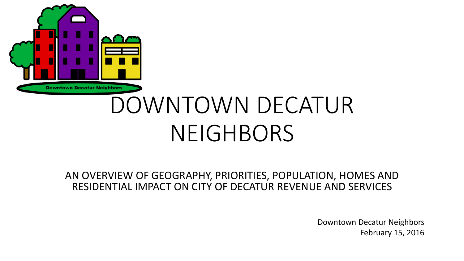

#### AN OVERVIEW OF GEOGRAPHY, PRIORITIES, POPULATION, HOMES AND RESIDENTIAL IMPACT ON CITY OF DECATUR REVENUE AND SERVICES

Downtown Decatur Neighbors February 15, 2016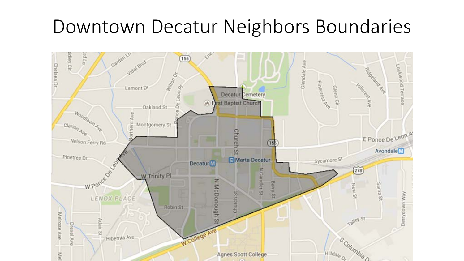## Downtown Decatur Neighbors Boundaries

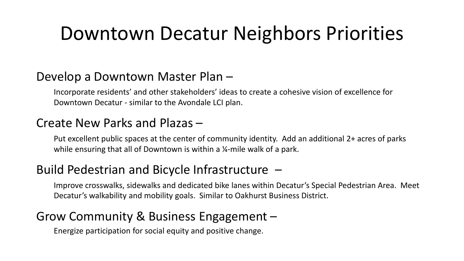## Downtown Decatur Neighbors Priorities

### Develop a Downtown Master Plan –

Incorporate residents' and other stakeholders' ideas to create a cohesive vision of excellence for Downtown Decatur - similar to the Avondale LCI plan.

### Create New Parks and Plazas –

Put excellent public spaces at the center of community identity. Add an additional 2+ acres of parks while ensuring that all of Downtown is within a 1/4-mile walk of a park.

### Build Pedestrian and Bicycle Infrastructure –

Improve crosswalks, sidewalks and dedicated bike lanes within Decatur's Special Pedestrian Area. Meet Decatur's walkability and mobility goals. Similar to Oakhurst Business District.

### Grow Community & Business Engagement –

Energize participation for social equity and positive change.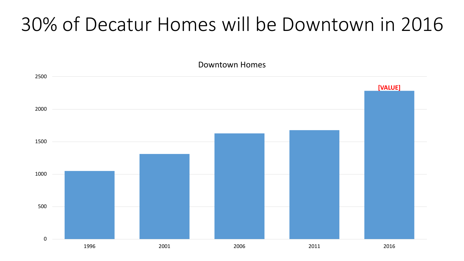## 30% of Decatur Homes will be Downtown in 2016

Downtown Homes

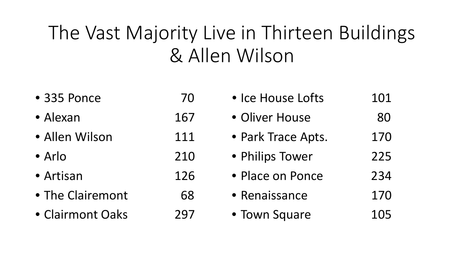# The Vast Majority Live in Thirteen Buildings & Allen Wilson

| • 335 Ponce      | 70  | • Ice House Lofts  | 101 |
|------------------|-----|--------------------|-----|
| • Alexan         | 167 | • Oliver House     | 80  |
| · Allen Wilson   | 111 | • Park Trace Apts. | 170 |
| • Arlo           | 210 | • Philips Tower    | 225 |
| • Artisan        | 126 | • Place on Ponce   | 234 |
| • The Clairemont | 68  | • Renaissance      | 170 |
| • Clairmont Oaks | 297 | • Town Square      | 105 |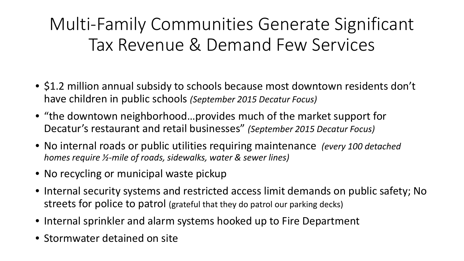### Multi-Family Communities Generate Significant Tax Revenue & Demand Few Services

- \$1.2 million annual subsidy to schools because most downtown residents don't have children in public schools *(September 2015 Decatur Focus)*
- "the downtown neighborhood…provides much of the market support for Decatur's restaurant and retail businesses" *(September 2015 Decatur Focus)*
- No internal roads or public utilities requiring maintenance *(every 100 detached homes require ½-mile of roads, sidewalks, water & sewer lines)*
- No recycling or municipal waste pickup
- Internal security systems and restricted access limit demands on public safety; No streets for police to patrol (grateful that they do patrol our parking decks)
- Internal sprinkler and alarm systems hooked up to Fire Department
- Stormwater detained on site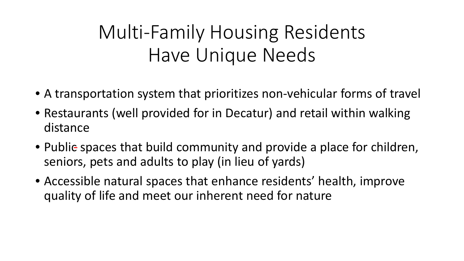# Multi-Family Housing Residents Have Unique Needs

- A transportation system that prioritizes non-vehicular forms of travel
- Restaurants (well provided for in Decatur) and retail within walking distance
- Public spaces that build community and provide a place for children, seniors, pets and adults to play (in lieu of yards)
- Accessible natural spaces that enhance residents' health, improve quality of life and meet our inherent need for nature